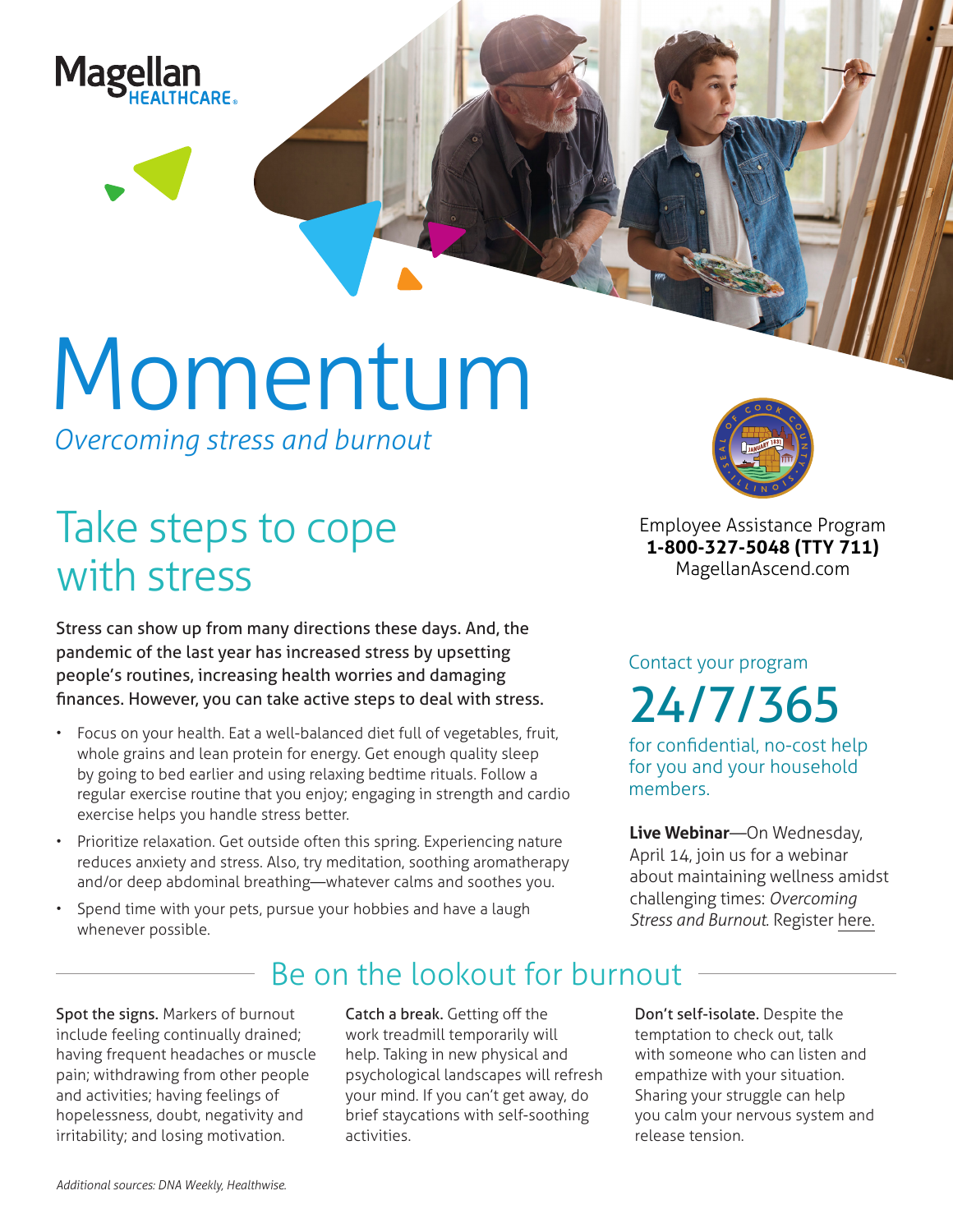

# Momentum

*Overcoming stress and burnout*

# Take steps to cope with stress

Stress can show up from many directions these days. And, the pandemic of the last year has increased stress by upsetting people's routines, increasing health worries and damaging finances. However, you can take active steps to deal with stress.

- Focus on your health. Eat a well-balanced diet full of vegetables, fruit, whole grains and lean protein for energy. Get enough quality sleep by going to bed earlier and using relaxing bedtime rituals. Follow a regular exercise routine that you enjoy; engaging in strength and cardio exercise helps you handle stress better.
- Prioritize relaxation. Get outside often this spring. Experiencing nature reduces anxiety and stress. Also, try meditation, soothing aromatherapy and/or deep abdominal breathing—whatever calms and soothes you.
- Spend time with your pets, pursue your hobbies and have a laugh whenever possible.



**Employee Assistance Program 1-800-327-5048 (TTY 711) MagellanAscend.com**

## Contact your program 24/7/365

for confidential, no-cost help for you and your household members.

**Live Webinar**—On Wednesday, April 14, join us for a webinar about maintaining wellness amidst challenging times: *Overcoming Stress and Burnout.* Register [here.](https://events-na4.adobeconnect.com/content/connect/c1/825364167/en/events/event/shared/default_template_simple/event_registration.html?sco-id=1842544072&_charset_=utf-8)

## Be on the lookout for burnout

Spot the signs. Markers of burnout include feeling continually drained; having frequent headaches or muscle pain; withdrawing from other people and activities; having feelings of hopelessness, doubt, negativity and irritability; and losing motivation.

Catch a break. Getting off the work treadmill temporarily will help. Taking in new physical and psychological landscapes will refresh your mind. If you can't get away, do brief staycations with self-soothing activities.

Don't self-isolate. Despite the temptation to check out, talk with someone who can listen and empathize with your situation. Sharing your struggle can help you calm your nervous system and release tension.